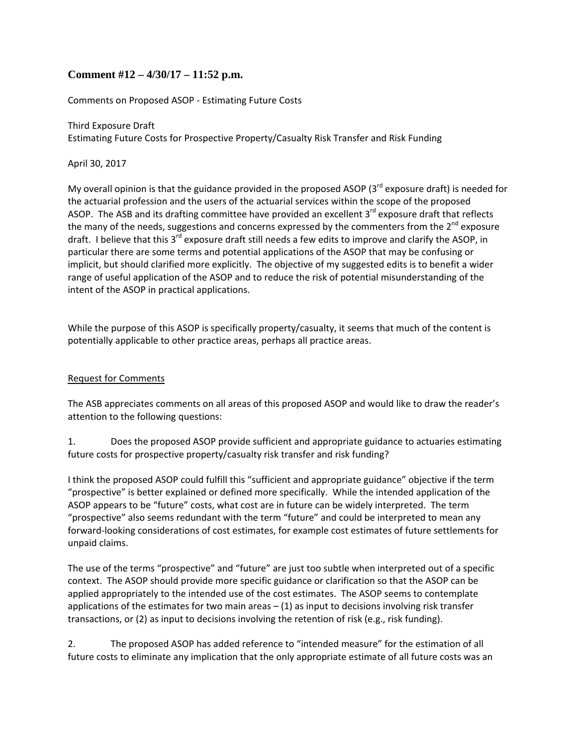# **Comment #12 – 4/30/17 – 11:52 p.m.**

Comments on Proposed ASOP ‐ Estimating Future Costs

Third Exposure Draft Estimating Future Costs for Prospective Property/Casualty Risk Transfer and Risk Funding

April 30, 2017

My overall opinion is that the guidance provided in the proposed ASOP ( $3^{rd}$  exposure draft) is needed for the actuarial profession and the users of the actuarial services within the scope of the proposed ASOP. The ASB and its drafting committee have provided an excellent  $3<sup>rd</sup>$  exposure draft that reflects the many of the needs, suggestions and concerns expressed by the commenters from the  $2^{nd}$  exposure draft. I believe that this 3<sup>rd</sup> exposure draft still needs a few edits to improve and clarify the ASOP, in particular there are some terms and potential applications of the ASOP that may be confusing or implicit, but should clarified more explicitly. The objective of my suggested edits is to benefit a wider range of useful application of the ASOP and to reduce the risk of potential misunderstanding of the intent of the ASOP in practical applications.

While the purpose of this ASOP is specifically property/casualty, it seems that much of the content is potentially applicable to other practice areas, perhaps all practice areas.

### Request for Comments

The ASB appreciates comments on all areas of this proposed ASOP and would like to draw the reader's attention to the following questions:

1. Does the proposed ASOP provide sufficient and appropriate guidance to actuaries estimating future costs for prospective property/casualty risk transfer and risk funding?

I think the proposed ASOP could fulfill this "sufficient and appropriate guidance" objective if the term "prospective" is better explained or defined more specifically. While the intended application of the ASOP appears to be "future" costs, what cost are in future can be widely interpreted. The term "prospective" also seems redundant with the term "future" and could be interpreted to mean any forward‐looking considerations of cost estimates, for example cost estimates of future settlements for unpaid claims.

The use of the terms "prospective" and "future" are just too subtle when interpreted out of a specific context. The ASOP should provide more specific guidance or clarification so that the ASOP can be applied appropriately to the intended use of the cost estimates. The ASOP seems to contemplate applications of the estimates for two main areas  $- (1)$  as input to decisions involving risk transfer transactions, or (2) as input to decisions involving the retention of risk (e.g., risk funding).

2. The proposed ASOP has added reference to "intended measure" for the estimation of all future costs to eliminate any implication that the only appropriate estimate of all future costs was an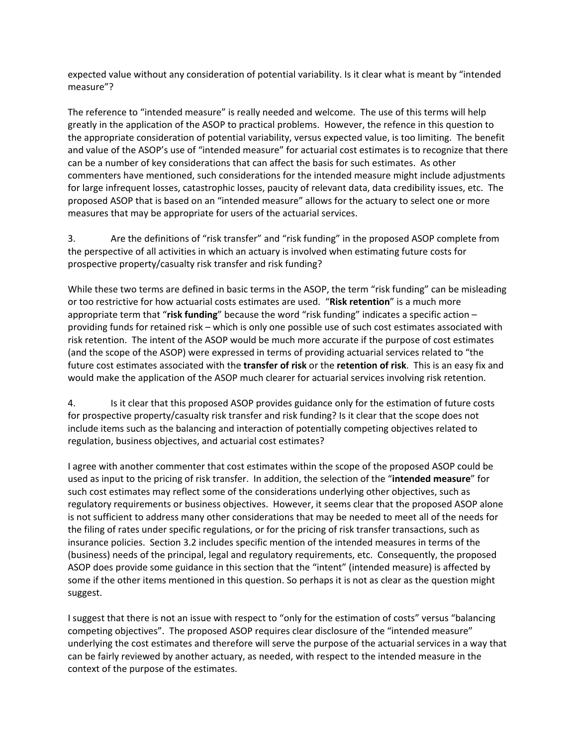expected value without any consideration of potential variability. Is it clear what is meant by "intended measure"?

The reference to "intended measure" is really needed and welcome. The use of this terms will help greatly in the application of the ASOP to practical problems. However, the refence in this question to the appropriate consideration of potential variability, versus expected value, is too limiting. The benefit and value of the ASOP's use of "intended measure" for actuarial cost estimates is to recognize that there can be a number of key considerations that can affect the basis for such estimates. As other commenters have mentioned, such considerations for the intended measure might include adjustments for large infrequent losses, catastrophic losses, paucity of relevant data, data credibility issues, etc. The proposed ASOP that is based on an "intended measure" allows for the actuary to select one or more measures that may be appropriate for users of the actuarial services.

3. Are the definitions of "risk transfer" and "risk funding" in the proposed ASOP complete from the perspective of all activities in which an actuary is involved when estimating future costs for prospective property/casualty risk transfer and risk funding?

While these two terms are defined in basic terms in the ASOP, the term "risk funding" can be misleading or too restrictive for how actuarial costs estimates are used. "**Risk retention**" is a much more appropriate term that "**risk funding**" because the word "risk funding" indicates a specific action – providing funds for retained risk – which is only one possible use of such cost estimates associated with risk retention. The intent of the ASOP would be much more accurate if the purpose of cost estimates (and the scope of the ASOP) were expressed in terms of providing actuarial services related to "the future cost estimates associated with the **transfer of risk** or the **retention of risk**. This is an easy fix and would make the application of the ASOP much clearer for actuarial services involving risk retention.

4. Is it clear that this proposed ASOP provides guidance only for the estimation of future costs for prospective property/casualty risk transfer and risk funding? Is it clear that the scope does not include items such as the balancing and interaction of potentially competing objectives related to regulation, business objectives, and actuarial cost estimates?

I agree with another commenter that cost estimates within the scope of the proposed ASOP could be used as input to the pricing of risk transfer. In addition, the selection of the "**intended measure**" for such cost estimates may reflect some of the considerations underlying other objectives, such as regulatory requirements or business objectives. However, it seems clear that the proposed ASOP alone is not sufficient to address many other considerations that may be needed to meet all of the needs for the filing of rates under specific regulations, or for the pricing of risk transfer transactions, such as insurance policies. Section 3.2 includes specific mention of the intended measures in terms of the (business) needs of the principal, legal and regulatory requirements, etc. Consequently, the proposed ASOP does provide some guidance in this section that the "intent" (intended measure) is affected by some if the other items mentioned in this question. So perhaps it is not as clear as the question might suggest.

I suggest that there is not an issue with respect to "only for the estimation of costs" versus "balancing competing objectives". The proposed ASOP requires clear disclosure of the "intended measure" underlying the cost estimates and therefore will serve the purpose of the actuarial services in a way that can be fairly reviewed by another actuary, as needed, with respect to the intended measure in the context of the purpose of the estimates.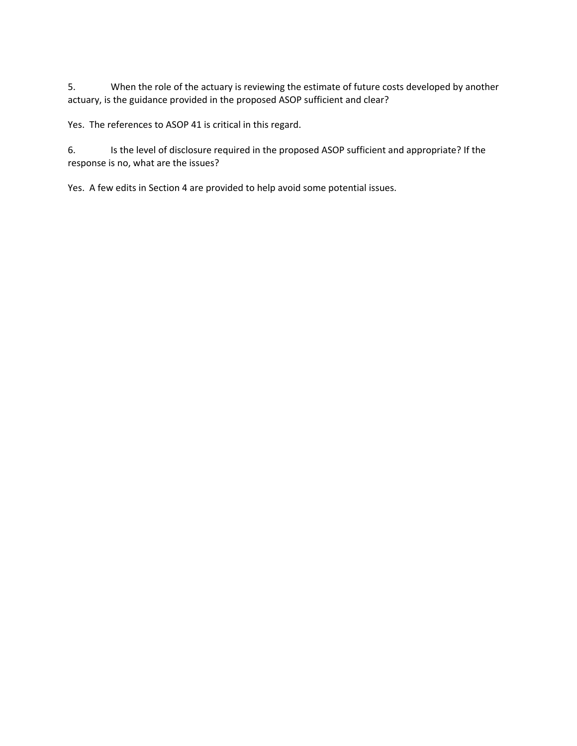5. When the role of the actuary is reviewing the estimate of future costs developed by another actuary, is the guidance provided in the proposed ASOP sufficient and clear?

Yes. The references to ASOP 41 is critical in this regard.

6. Is the level of disclosure required in the proposed ASOP sufficient and appropriate? If the response is no, what are the issues?

Yes. A few edits in Section 4 are provided to help avoid some potential issues.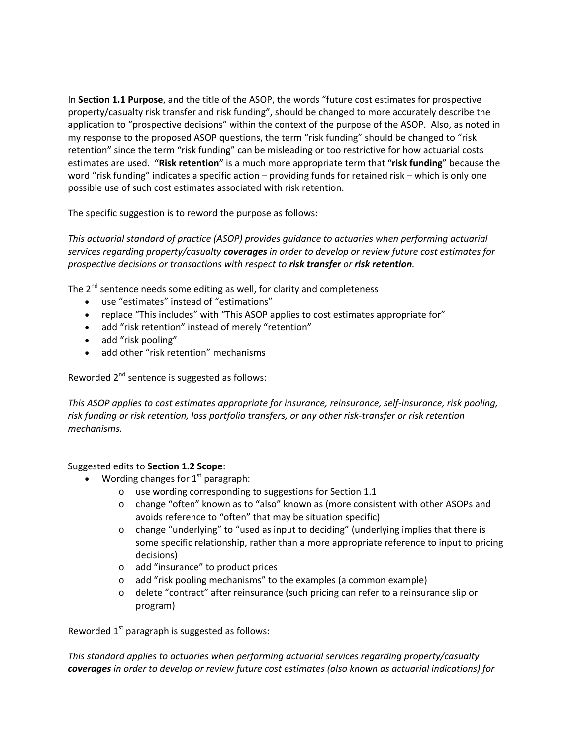In **Section 1.1 Purpose**, and the title of the ASOP, the words "future cost estimates for prospective property/casualty risk transfer and risk funding", should be changed to more accurately describe the application to "prospective decisions" within the context of the purpose of the ASOP. Also, as noted in my response to the proposed ASOP questions, the term "risk funding" should be changed to "risk retention" since the term "risk funding" can be misleading or too restrictive for how actuarial costs estimates are used. "**Risk retention**" is a much more appropriate term that "**risk funding**" because the word "risk funding" indicates a specific action – providing funds for retained risk – which is only one possible use of such cost estimates associated with risk retention.

The specific suggestion is to reword the purpose as follows:

*This actuarial standard of practice (ASOP) provides guidance to actuaries when performing actuarial services regarding property/casualty coverages in order to develop or review future cost estimates for prospective decisions or transactions with respect to risk transfer or risk retention.*

The  $2^{nd}$  sentence needs some editing as well, for clarity and completeness

- use "estimates" instead of "estimations"
- replace "This includes" with "This ASOP applies to cost estimates appropriate for"
- add "risk retention" instead of merely "retention"
- add "risk pooling"
- add other "risk retention" mechanisms

Reworded  $2^{nd}$  sentence is suggested as follows:

*This ASOP applies to cost estimates appropriate for insurance, reinsurance, self‐insurance, risk pooling, risk funding or risk retention, loss portfolio transfers, or any other risk‐transfer or risk retention mechanisms.*

### Suggested edits to **Section 1.2 Scope**:

- Wording changes for  $1<sup>st</sup>$  paragraph:
	- o use wording corresponding to suggestions for Section 1.1
	- o change "often" known as to "also" known as (more consistent with other ASOPs and avoids reference to "often" that may be situation specific)
	- $\circ$  change "underlying" to "used as input to deciding" (underlying implies that there is some specific relationship, rather than a more appropriate reference to input to pricing decisions)
	- o add "insurance" to product prices
	- o add "risk pooling mechanisms" to the examples (a common example)
	- o delete "contract" after reinsurance (such pricing can refer to a reinsurance slip or program)

Reworded  $1<sup>st</sup>$  paragraph is suggested as follows:

*This standard applies to actuaries when performing actuarial services regarding property/casualty coverages in order to develop or review future cost estimates (also known as actuarial indications) for*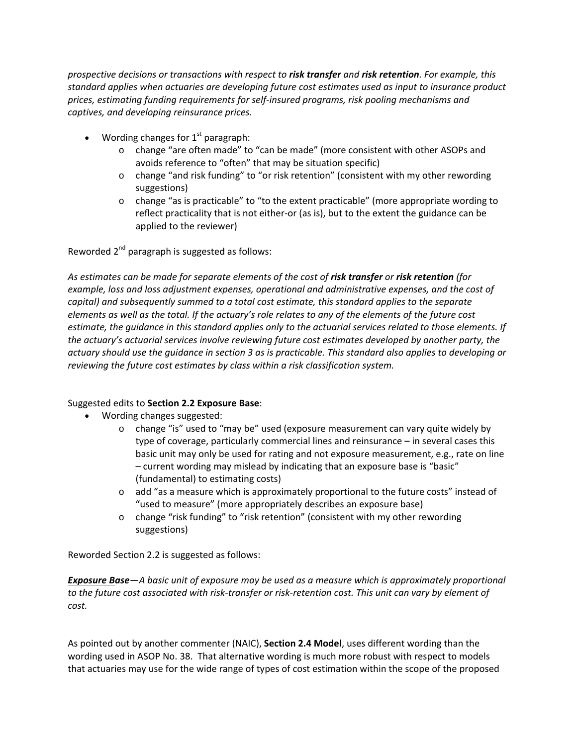*prospective decisions or transactions with respect to risk transfer and risk retention. For example, this standard applies when actuaries are developing future cost estimates used as input to insurance product prices, estimating funding requirements for self‐insured programs, risk pooling mechanisms and captives, and developing reinsurance prices.*

- Wording changes for  $1<sup>st</sup>$  paragraph:
	- o change "are often made" to "can be made" (more consistent with other ASOPs and avoids reference to "often" that may be situation specific)
	- o change "and risk funding" to "or risk retention" (consistent with my other rewording suggestions)
	- o change "as is practicable" to "to the extent practicable" (more appropriate wording to reflect practicality that is not either‐or (as is), but to the extent the guidance can be applied to the reviewer)

Reworded  $2^{nd}$  paragraph is suggested as follows:

*As estimates can be made for separate elements of the cost of risk transfer or risk retention (for example, loss and loss adjustment expenses, operational and administrative expenses, and the cost of capital) and subsequently summed to a total cost estimate, this standard applies to the separate* elements as well as the total. If the actuary's role relates to any of the elements of the future cost estimate, the quidance in this standard applies only to the actuarial services related to those elements. If *the actuary's actuarial services involve reviewing future cost estimates developed by another party, the* actuary should use the guidance in section 3 as is practicable. This standard also applies to developing or *reviewing the future cost estimates by class within a risk classification system.*

### Suggested edits to **Section 2.2 Exposure Base**:

- Wording changes suggested:
	- o change "is" used to "may be" used (exposure measurement can vary quite widely by type of coverage, particularly commercial lines and reinsurance – in several cases this basic unit may only be used for rating and not exposure measurement, e.g., rate on line – current wording may mislead by indicating that an exposure base is "basic" (fundamental) to estimating costs)
	- o add "as a measure which is approximately proportional to the future costs" instead of "used to measure" (more appropriately describes an exposure base)
	- o change "risk funding" to "risk retention" (consistent with my other rewording suggestions)

Reworded Section 2.2 is suggested as follows:

*Exposure Base—A basic unit of exposure may be used as a measure which is approximately proportional* to the future cost associated with risk-transfer or risk-retention cost. This unit can vary by element of *cost.*

As pointed out by another commenter (NAIC), **Section 2.4 Model**, uses different wording than the wording used in ASOP No. 38. That alternative wording is much more robust with respect to models that actuaries may use for the wide range of types of cost estimation within the scope of the proposed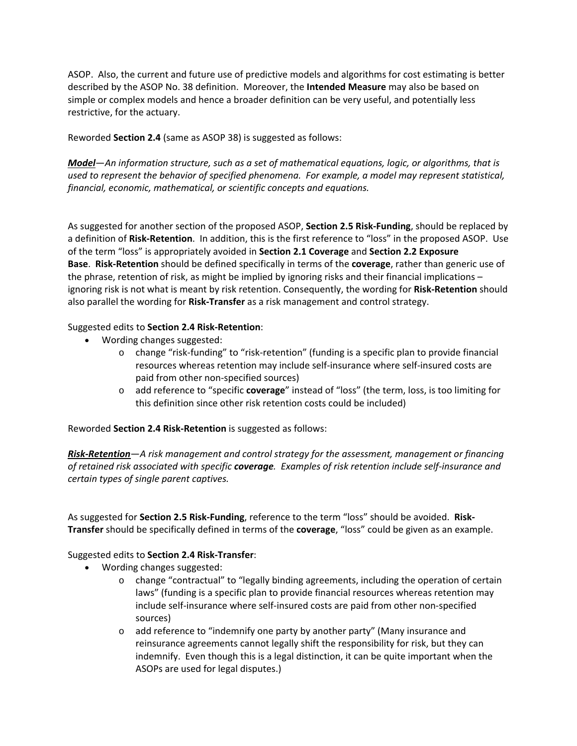ASOP. Also, the current and future use of predictive models and algorithms for cost estimating is better described by the ASOP No. 38 definition. Moreover, the **Intended Measure** may also be based on simple or complex models and hence a broader definition can be very useful, and potentially less restrictive, for the actuary.

Reworded **Section 2.4** (same as ASOP 38) is suggested as follows:

*Model*—*An information structure, such as a set of mathematical equations, logic, or algorithms, that is used to represent the behavior of specified phenomena. For example, a model may represent statistical, financial, economic, mathematical, or scientific concepts and equations.*

As suggested for another section of the proposed ASOP, **Section 2.5 Risk‐Funding**, should be replaced by a definition of **Risk‐Retention**. In addition, this is the first reference to "loss" in the proposed ASOP. Use of the term "loss" is appropriately avoided in **Section 2.1 Coverage** and **Section 2.2 Exposure Base**. **Risk‐Retention** should be defined specifically in terms of the **coverage**, rather than generic use of the phrase, retention of risk, as might be implied by ignoring risks and their financial implications – ignoring risk is not what is meant by risk retention. Consequently, the wording for **Risk‐Retention** should also parallel the wording for **Risk‐Transfer** as a risk management and control strategy.

# Suggested edits to **Section 2.4 Risk‐Retention**:

- Wording changes suggested:
	- o change "risk‐funding" to "risk‐retention" (funding is a specific plan to provide financial resources whereas retention may include self‐insurance where self‐insured costs are paid from other non‐specified sources)
	- o add reference to "specific **coverage**" instead of "loss" (the term, loss, is too limiting for this definition since other risk retention costs could be included)

Reworded **Section 2.4 Risk‐Retention** is suggested as follows:

*Risk‐Retention*—*A risk management and control strategy for the assessment, management or financing* of retained risk associated with specific coverage. Examples of risk retention include self-insurance and *certain types of single parent captives.*

As suggested for **Section 2.5 Risk‐Funding**, reference to the term "loss" should be avoided. **Risk‐ Transfer** should be specifically defined in terms of the **coverage**, "loss" could be given as an example.

### Suggested edits to **Section 2.4 Risk‐Transfer**:

- Wording changes suggested:
	- o change "contractual" to "legally binding agreements, including the operation of certain laws" (funding is a specific plan to provide financial resources whereas retention may include self‐insurance where self‐insured costs are paid from other non‐specified sources)
	- o add reference to "indemnify one party by another party" (Many insurance and reinsurance agreements cannot legally shift the responsibility for risk, but they can indemnify. Even though this is a legal distinction, it can be quite important when the ASOPs are used for legal disputes.)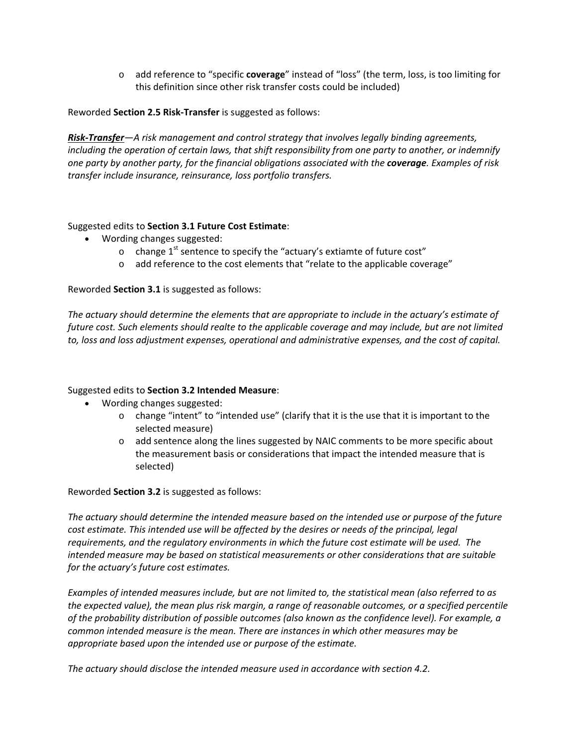o add reference to "specific **coverage**" instead of "loss" (the term, loss, is too limiting for this definition since other risk transfer costs could be included)

Reworded **Section 2.5 Risk‐Transfer** is suggested as follows:

*Risk‐Transfer—A risk management and control strategy that involves legally binding agreements, including the operation of certain laws, that shift responsibility from one party to another, or indemnify one party by another party, for the financial obligations associated with the coverage. Examples of risk transfer include insurance, reinsurance, loss portfolio transfers.*

#### Suggested edits to **Section 3.1 Future Cost Estimate**:

- Wording changes suggested:
	- o change  $1<sup>st</sup>$  sentence to specify the "actuary's extiamte of future cost"
	- o add reference to the cost elements that "relate to the applicable coverage"

#### Reworded **Section 3.1** is suggested as follows:

*The actuary should determine the elements that are appropriate to include in the actuary's estimate of future cost. Such elements should realte to the applicable coverage and may include, but are not limited to, loss and loss adjustment expenses, operational and administrative expenses, and the cost of capital.*

### Suggested edits to **Section 3.2 Intended Measure**:

- Wording changes suggested:
	- o change "intent" to "intended use" (clarify that it is the use that it is important to the selected measure)
	- o add sentence along the lines suggested by NAIC comments to be more specific about the measurement basis or considerations that impact the intended measure that is selected)

### Reworded **Section 3.2** is suggested as follows:

*The actuary should determine the intended measure based on the intended use or purpose of the future cost estimate. This intended use will be affected by the desires or needs of the principal, legal requirements, and the regulatory environments in which the future cost estimate will be used. The intended measure may be based on statistical measurements or other considerations that are suitable for the actuary's future cost estimates.* 

*Examples of intended measures include, but are not limited to, the statistical mean (also referred to as the expected value), the mean plus risk margin, a range of reasonable outcomes, or a specified percentile of the probability distribution of possible outcomes (also known as the confidence level). For example, a common intended measure is the mean. There are instances in which other measures may be appropriate based upon the intended use or purpose of the estimate.*

*The actuary should disclose the intended measure used in accordance with section 4.2.*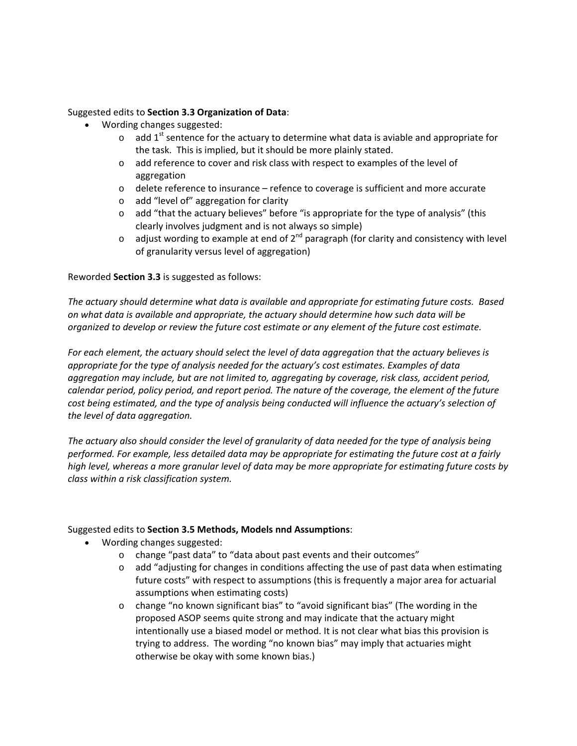#### Suggested edits to **Section 3.3 Organization of Data**:

- Wording changes suggested:
	- $\circ$  add 1<sup>st</sup> sentence for the actuary to determine what data is aviable and appropriate for the task. This is implied, but it should be more plainly stated.
	- o add reference to cover and risk class with respect to examples of the level of aggregation
	- $\circ$  delete reference to insurance refence to coverage is sufficient and more accurate
	- o add "level of" aggregation for clarity
	- $\circ$  add "that the actuary believes" before "is appropriate for the type of analysis" (this clearly involves judgment and is not always so simple)
	- $\circ$  adjust wording to example at end of 2<sup>nd</sup> paragraph (for clarity and consistency with level of granularity versus level of aggregation)

### Reworded **Section 3.3** is suggested as follows:

*The actuary should determine what data is available and appropriate for estimating future costs. Based on what data is available and appropriate, the actuary should determine how such data will be organized to develop or review the future cost estimate or any element of the future cost estimate.*

*For each element, the actuary should select the level of data aggregation that the actuary believes is appropriate for the type of analysis needed for the actuary's cost estimates. Examples of data aggregation may include, but are not limited to, aggregating by coverage, risk class, accident period, calendar period, policy period, and report period. The nature of the coverage, the element of the future cost being estimated, and the type of analysis being conducted will influence the actuary's selection of the level of data aggregation.*

The actuary also should consider the level of granularity of data needed for the type of analysis being *performed. For example, less detailed data may be appropriate for estimating the future cost at a fairly* high level, whereas a more granular level of data may be more appropriate for estimating future costs by *class within a risk classification system.*

### Suggested edits to **Section 3.5 Methods, Models nnd Assumptions**:

- Wording changes suggested:
	- o change "past data" to "data about past events and their outcomes"
	- o add "adjusting for changes in conditions affecting the use of past data when estimating future costs" with respect to assumptions (this is frequently a major area for actuarial assumptions when estimating costs)
	- o change "no known significant bias" to "avoid significant bias" (The wording in the proposed ASOP seems quite strong and may indicate that the actuary might intentionally use a biased model or method. It is not clear what bias this provision is trying to address. The wording "no known bias" may imply that actuaries might otherwise be okay with some known bias.)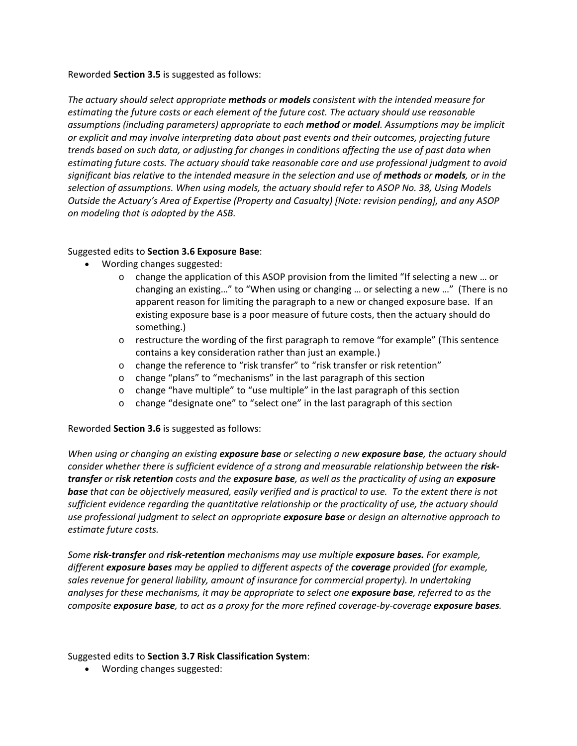#### Reworded **Section 3.5** is suggested as follows:

*The actuary should select appropriate methods or models consistent with the intended measure for estimating the future costs or each element of the future cost. The actuary should use reasonable assumptions (including parameters) appropriate to each method or model. Assumptions may be implicit or explicit and may involve interpreting data about past events and their outcomes, projecting future* trends based on such data, or adjusting for changes in conditions affecting the use of past data when *estimating future costs. The actuary should take reasonable care and use professional judgment to avoid* significant bias relative to the intended measure in the selection and use of methods or models, or in the *selection of assumptions. When using models, the actuary should refer to ASOP No. 38, Using Models Outside the Actuary's Area of Expertise (Property and Casualty) [Note: revision pending], and any ASOP on modeling that is adopted by the ASB.*

# Suggested edits to **Section 3.6 Exposure Base**:

- Wording changes suggested:
	- o change the application of this ASOP provision from the limited "If selecting a new … or changing an existing…" to "When using or changing … or selecting a new …" (There is no apparent reason for limiting the paragraph to a new or changed exposure base. If an existing exposure base is a poor measure of future costs, then the actuary should do something.)
	- o restructure the wording of the first paragraph to remove "for example" (This sentence contains a key consideration rather than just an example.)
	- o change the reference to "risk transfer" to "risk transfer or risk retention"
	- o change "plans" to "mechanisms" in the last paragraph of this section
	- o change "have multiple" to "use multiple" in the last paragraph of this section
	- o change "designate one" to "select one" in the last paragraph of this section

Reworded **Section 3.6** is suggested as follows:

When using or changing an existing exposure base or selecting a new exposure base, the actuary should *consider whether there is sufficient evidence of a strong and measurable relationship between the risk‐* transfer or risk retention costs and the exposure base, as well as the practicality of using an exposure **base** that can be objectively measured, easily verified and is practical to use. To the extent there is not *sufficient evidence regarding the quantitative relationship or the practicality of use, the actuary should use professional judgment to select an appropriate exposure base or design an alternative approach to estimate future costs.*

*Some risk‐transfer and risk‐retention mechanisms may use multiple exposure bases. For example, different exposure bases may be applied to different aspects of the coverage provided (for example, sales revenue for general liability, amount of insurance for commercial property). In undertaking* analyses for these mechanisms, it may be appropriate to select one exposure base, referred to as the composite exposure base, to act as a proxy for the more refined coverage-by-coverage exposure bases.

Suggested edits to **Section 3.7 Risk Classification System**:

Wording changes suggested: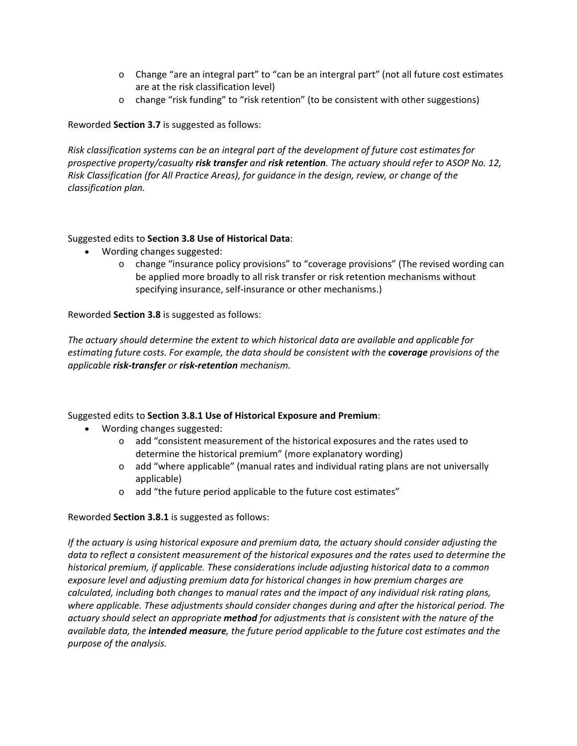- o Change "are an integral part" to "can be an intergral part" (not all future cost estimates are at the risk classification level)
- o change "risk funding" to "risk retention" (to be consistent with other suggestions)

Reworded **Section 3.7** is suggested as follows:

*Risk classification systems can be an integral part of the development of future cost estimates for prospective property/casualty risk transfer and risk retention. The actuary should refer to ASOP No. 12, Risk Classification (for All Practice Areas), for guidance in the design, review, or change of the classification plan.*

### Suggested edits to **Section 3.8 Use of Historical Data**:

- Wording changes suggested:
	- o change "insurance policy provisions" to "coverage provisions" (The revised wording can be applied more broadly to all risk transfer or risk retention mechanisms without specifying insurance, self‐insurance or other mechanisms.)

Reworded **Section 3.8** is suggested as follows:

*The actuary should determine the extent to which historical data are available and applicable for estimating future costs. For example, the data should be consistent with the coverage provisions of the applicable risk‐transfer or risk‐retention mechanism.*

# Suggested edits to **Section 3.8.1 Use of Historical Exposure and Premium**:

- Wording changes suggested:
	- o add "consistent measurement of the historical exposures and the rates used to determine the historical premium" (more explanatory wording)
	- o add "where applicable" (manual rates and individual rating plans are not universally applicable)
	- o add "the future period applicable to the future cost estimates"

### Reworded **Section 3.8.1** is suggested as follows:

*If the actuary is using historical exposure and premium data, the actuary should consider adjusting the data to reflect a consistent measurement of the historical exposures and the rates used to determine the historical premium, if applicable. These considerations include adjusting historical data to a common exposure level and adjusting premium data for historical changes in how premium charges are calculated, including both changes to manual rates and the impact of any individual risk rating plans, where applicable. These adjustments should consider changes during and after the historical period. The actuary should select an appropriate method for adjustments that is consistent with the nature of the available data, the intended measure, the future period applicable to the future cost estimates and the purpose of the analysis.*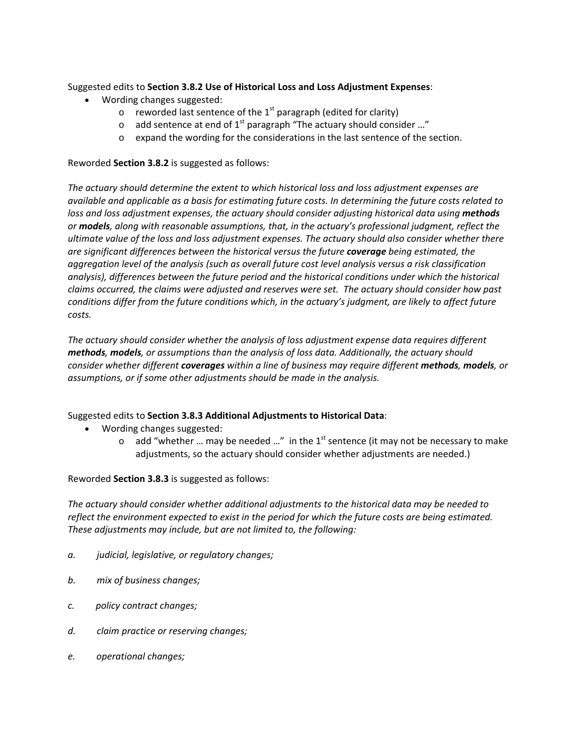Suggested edits to **Section 3.8.2 Use of Historical Loss and Loss Adjustment Expenses**:

- Wording changes suggested:
	- $\circ$  reworded last sentence of the 1<sup>st</sup> paragraph (edited for clarity)
	- o add sentence at end of  $1^{st}$  paragraph "The actuary should consider ..."
	- o expand the wording for the considerations in the last sentence of the section.

Reworded **Section 3.8.2** is suggested as follows:

*The actuary should determine the extent to which historical loss and loss adjustment expenses are* available and applicable as a basis for estimating future costs. In determining the future costs related to *loss and loss adjustment expenses, the actuary should consider adjusting historical data using methods or models, along with reasonable assumptions, that, in the actuary's professional judgment, reflect the ultimate value of the loss and loss adjustment expenses. The actuary should also consider whether there are significant differences between the historical versus the future coverage being estimated, the aggregation level of the analysis (such as overall future cost level analysis versus a risk classification analysis), differences between the future period and the historical conditions under which the historical claims occurred, the claims were adjusted and reserves were set. The actuary should consider how past conditions differ from the future conditions which, in the actuary's judgment, are likely to affect future costs.*

*The actuary should consider whether the analysis of loss adjustment expense data requires different methods, models, or assumptions than the analysis of loss data. Additionally, the actuary should consider whether different coverages within a line of business may require different methods, models, or assumptions, or if some other adjustments should be made in the analysis.*

Suggested edits to **Section 3.8.3 Additional Adjustments to Historical Data**:

- Wording changes suggested:
	- $\circ$  add "whether ... may be needed ..." in the 1<sup>st</sup> sentence (it may not be necessary to make adjustments, so the actuary should consider whether adjustments are needed.)

Reworded **Section 3.8.3** is suggested as follows:

*The actuary should consider whether additional adjustments to the historical data may be needed to reflect the environment expected to exist in the period for which the future costs are being estimated. These adjustments may include, but are not limited to, the following:*

- *a. judicial, legislative, or regulatory changes;*
- *b. mix of business changes;*
- *c. policy contract changes;*
- *d. claim practice or reserving changes;*
- *e. operational changes;*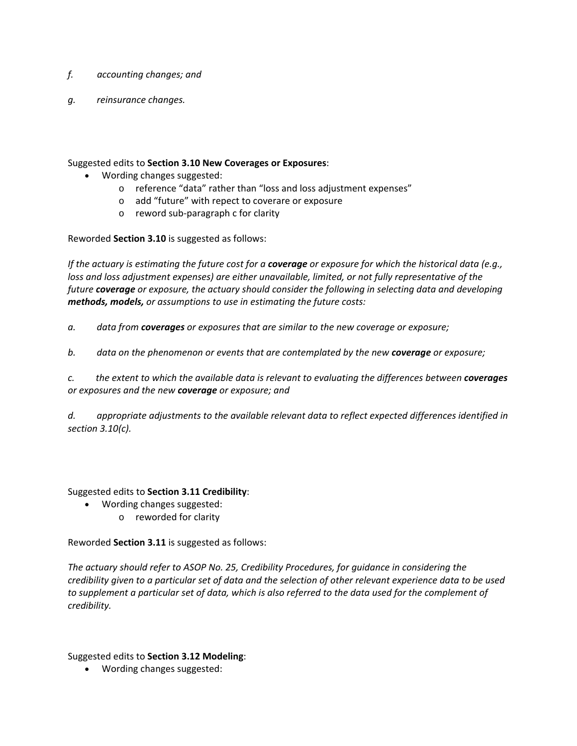- *f. accounting changes; and*
- *g. reinsurance changes.*

Suggested edits to **Section 3.10 New Coverages or Exposures**:

- Wording changes suggested:
	- o reference "data" rather than "loss and loss adjustment expenses"
	- o add "future" with repect to coverare or exposure
	- o reword sub‐paragraph c for clarity

Reworded **Section 3.10** is suggested as follows:

If the actuary is estimating the future cost for a **coverage** or exposure for which the historical data (e.g., *loss and loss adjustment expenses) are either unavailable, limited, or not fully representative of the future coverage or exposure, the actuary should consider the following in selecting data and developing methods, models, or assumptions to use in estimating the future costs:*

*a. data from coverages or exposures that are similar to the new coverage or exposure;*

*b. data on the phenomenon or events that are contemplated by the new coverage or exposure;*

c. the extent to which the available data is relevant to evaluating the differences between coverages *or exposures and the new coverage or exposure; and*

*d. appropriate adjustments to the available relevant data to reflect expected differences identified in section 3.10(c).*

# Suggested edits to **Section 3.11 Credibility**:

- Wording changes suggested:
	- o reworded for clarity

Reworded **Section 3.11** is suggested as follows:

*The actuary should refer to ASOP No. 25, Credibility Procedures, for guidance in considering the* credibility given to a particular set of data and the selection of other relevant experience data to be used to supplement a particular set of data, which is also referred to the data used for the complement of *credibility.*

Suggested edits to **Section 3.12 Modeling**:

Wording changes suggested: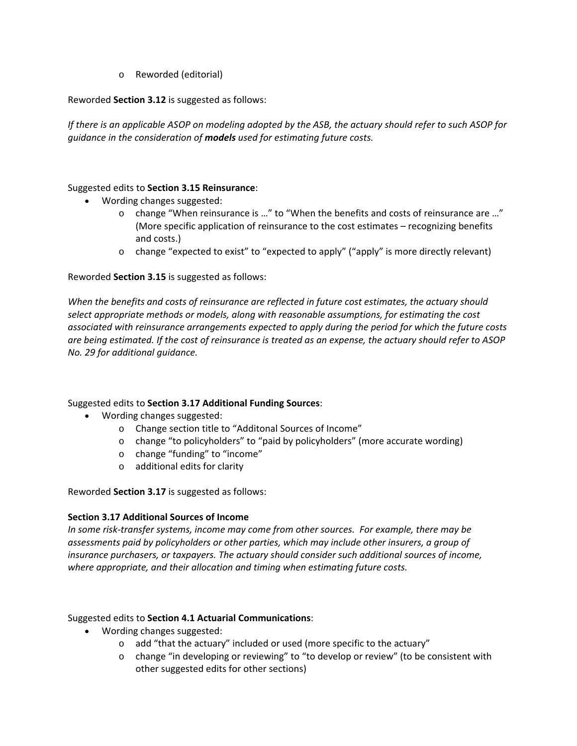o Reworded (editorial)

# Reworded **Section 3.12** is suggested as follows:

If there is an applicable ASOP on modeling adopted by the ASB, the actuary should refer to such ASOP for *guidance in the consideration of models used for estimating future costs.*

## Suggested edits to **Section 3.15 Reinsurance**:

- Wording changes suggested:
	- o change "When reinsurance is …" to "When the benefits and costs of reinsurance are …" (More specific application of reinsurance to the cost estimates – recognizing benefits and costs.)
	- o change "expected to exist" to "expected to apply" ("apply" is more directly relevant)

# Reworded **Section 3.15** is suggested as follows:

*When the benefits and costs of reinsurance are reflected in future cost estimates, the actuary should select appropriate methods or models, along with reasonable assumptions, for estimating the cost associated with reinsurance arrangements expected to apply during the period for which the future costs* are being estimated. If the cost of reinsurance is treated as an expense, the actuary should refer to ASOP *No. 29 for additional guidance.*

### Suggested edits to **Section 3.17 Additional Funding Sources**:

- Wording changes suggested:
	- o Change section title to "Additonal Sources of Income"
	- o change "to policyholders" to "paid by policyholders" (more accurate wording)
	- o change "funding" to "income"
	- o additional edits for clarity

Reworded **Section 3.17** is suggested as follows:

### **Section 3.17 Additional Sources of Income**

*In some risk‐transfer systems, income may come from other sources. For example, there may be assessments paid by policyholders or other parties, which may include other insurers, a group of insurance purchasers, or taxpayers. The actuary should consider such additional sources of income, where appropriate, and their allocation and timing when estimating future costs.*

### Suggested edits to **Section 4.1 Actuarial Communications**:

- Wording changes suggested:
	- $\circ$  add "that the actuary" included or used (more specific to the actuary"
	- o change "in developing or reviewing" to "to develop or review" (to be consistent with other suggested edits for other sections)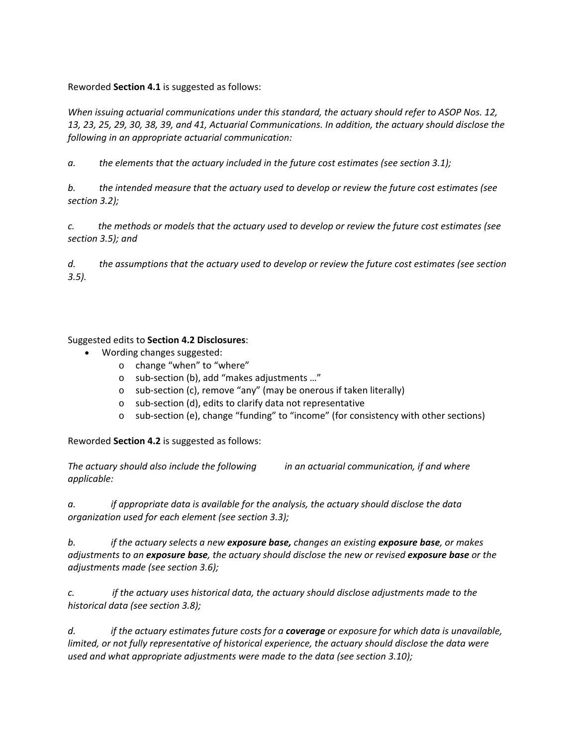## Reworded **Section 4.1** is suggested as follows:

*When issuing actuarial communications under this standard, the actuary should refer to ASOP Nos. 12,* 13, 23, 25, 29, 30, 38, 39, and 41, Actuarial Communications. In addition, the actuary should disclose the *following in an appropriate actuarial communication:*

*a. the elements that the actuary included in the future cost estimates (see section 3.1);*

b. the intended measure that the actuary used to develop or review the future cost estimates (see *section 3.2);*

c. the methods or models that the actuary used to develop or review the future cost estimates (see *section 3.5); and*

d. the assumptions that the actuary used to develop or review the future cost estimates (see section *3.5).*

# Suggested edits to **Section 4.2 Disclosures**:

- Wording changes suggested:
	- o change "when" to "where"
	- o sub‐section (b), add "makes adjustments …"
	- o sub‐section (c), remove "any" (may be onerous if taken literally)
	- o sub‐section (d), edits to clarify data not representative
	- o sub‐section (e), change "funding" to "income" (for consistency with other sections)

Reworded **Section 4.2** is suggested as follows:

*The actuary should also include the following in an actuarial communication, if and where applicable:*

*a. if appropriate data is available for the analysis, the actuary should disclose the data organization used for each element (see section 3.3);*

b. if the actuary selects a new exposure base, changes an existing exposure base, or makes adjustments to an exposure base, the actuary should disclose the new or revised exposure base or the *adjustments made (see section 3.6);*

*c. if the actuary uses historical data, the actuary should disclose adjustments made to the historical data (see section 3.8);*

d. if the actuary estimates future costs for a **coverage** or exposure for which data is unavailable, *limited, or not fully representative of historical experience, the actuary should disclose the data were used and what appropriate adjustments were made to the data (see section 3.10);*